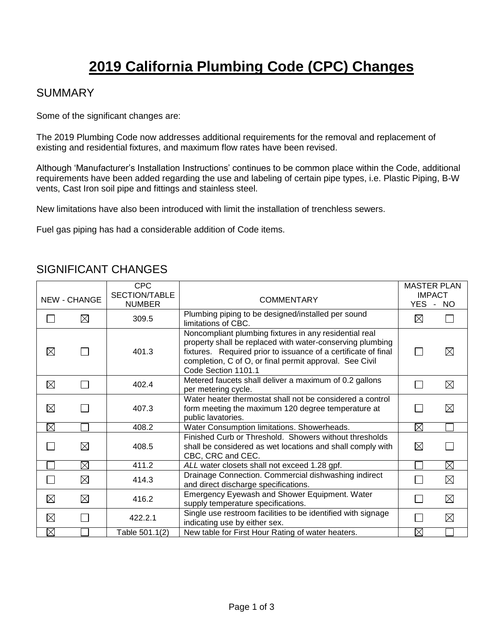# **2019 California Plumbing Code (CPC) Changes**

### SUMMARY

Some of the significant changes are:

The 2019 Plumbing Code now addresses additional requirements for the removal and replacement of existing and residential fixtures, and maximum flow rates have been revised.

Although 'Manufacturer's Installation Instructions' continues to be common place within the Code, additional requirements have been added regarding the use and labeling of certain pipe types, i.e. Plastic Piping, B-W vents, Cast Iron soil pipe and fittings and stainless steel.

New limitations have also been introduced with limit the installation of trenchless sewers.

Fuel gas piping has had a considerable addition of Code items.

#### CPC MASTER PLAN SECTION/TABLE **IMPACT** NEW - CHANGE NUMBER COMMENTARY YES - NO 309.5 Plumbing piping to be designed/installed per sound  $\Box$  $\boxtimes$  $\boxtimes$ limitations of CBC. Noncompliant plumbing fixtures in any residential real property shall be replaced with water-conserving plumbing  $\boxtimes$  $\Box$ 401.3 fixtures. Required prior to issuance of a certificate of final П completion, C of O, or final permit approval. See Civil Code Section 1101.1 402.4 Metered faucets shall deliver a maximum of 0.2 gallons  $\Box$  $\boxtimes$  $\Box$ per metering cycle. Water heater thermostat shall not be considered a control  $\boxtimes$  $\Box$ form meeting the maximum 120 degree temperature at  $\Box$ 407.3 public lavatories. 408.2 Water Consumption limitations. Showerheads.  $\boxtimes$  $\boxtimes$ Finished Curb or Threshold. Showers without thresholds  $\Box$  $\boxtimes$ shall be considered as wet locations and shall comply with  $\boxtimes$ 408.5 CBC, CRC and CEC. П  $\boxtimes$ 411.2 *ALL* water closets shall not exceed 1.28 gpf. П 414.3 Drainage Connection. Commercial dishwashing indirect  $\Box$  $\boxtimes$ П and direct discharge specifications. **Emergency Eyewash and Shower Equipment. Water**  $\boxtimes$ ⊠ П supply temperature specifications. 422.2.1 Single use restroom facilities to be identified with signage ⊠  $\Box$ П indicating use by either sex. ⊠ Table 501.1(2) New table for First Hour Rating of water heaters.  $\boxtimes$

П

 $\boxtimes$ 

 $\boxtimes$ 

⊠

 $\Box$ 

П

⊠

 $\boxtimes$ 

 $\boxtimes$ 

⊠

#### SIGNIFICANT CHANGES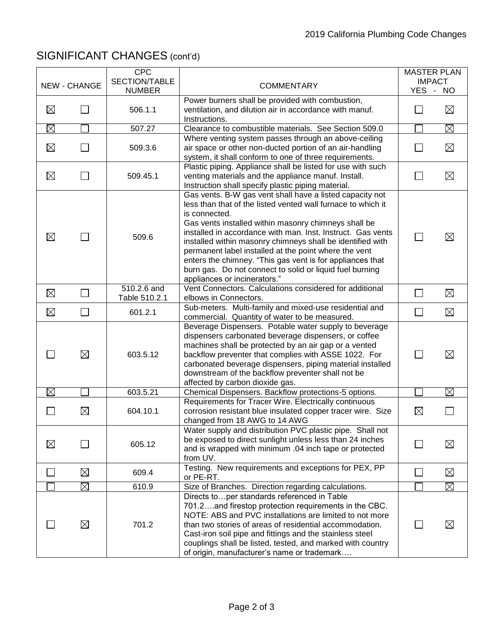## SIGNIFICANT CHANGES (cont'd)

|                |                     | <b>CPC</b><br>SECTION/TABLE  |                                                                                                                                                                                                                                                                                                                                                                                                                                                                                                                                                  | <b>MASTER PLAN</b><br><b>IMPACT</b> |             |
|----------------|---------------------|------------------------------|--------------------------------------------------------------------------------------------------------------------------------------------------------------------------------------------------------------------------------------------------------------------------------------------------------------------------------------------------------------------------------------------------------------------------------------------------------------------------------------------------------------------------------------------------|-------------------------------------|-------------|
|                | <b>NEW - CHANGE</b> | <b>NUMBER</b>                | <b>COMMENTARY</b>                                                                                                                                                                                                                                                                                                                                                                                                                                                                                                                                | YES - NO                            |             |
| $\boxtimes$    |                     | 506.1.1                      | Power burners shall be provided with combustion,<br>ventilation, and dilution air in accordance with manuf.<br>Instructions.                                                                                                                                                                                                                                                                                                                                                                                                                     |                                     | $\boxtimes$ |
| $\boxtimes$    |                     | 507.27                       | Clearance to combustible materials. See Section 509.0                                                                                                                                                                                                                                                                                                                                                                                                                                                                                            |                                     | $\boxtimes$ |
| $\boxtimes$    |                     | 509.3.6                      | Where venting system passes through an above-ceiling<br>air space or other non-ducted portion of an air-handling<br>system, it shall conform to one of three requirements.                                                                                                                                                                                                                                                                                                                                                                       |                                     | $\boxtimes$ |
| $\boxtimes$    |                     | 509.45.1                     | Plastic piping. Appliance shall be listed for use with such<br>venting materials and the appliance manuf. Install.<br>Instruction shall specify plastic piping material.                                                                                                                                                                                                                                                                                                                                                                         |                                     | $\boxtimes$ |
| $\boxtimes$    |                     | 509.6                        | Gas vents. B-W gas vent shall have a listed capacity not<br>less than that of the listed vented wall furnace to which it<br>is connected.<br>Gas vents installed within masonry chimneys shall be<br>installed in accordance with man. Inst. Instruct. Gas vents<br>installed within masonry chimneys shall be identified with<br>permanent label installed at the point where the vent<br>enters the chimney. "This gas vent is for appliances that<br>burn gas. Do not connect to solid or liquid fuel burning<br>appliances or incinerators." |                                     | $\boxtimes$ |
| $\boxtimes$    |                     | 510.2.6 and<br>Table 510.2.1 | Vent Connectors. Calculations considered for additional<br>elbows in Connectors.                                                                                                                                                                                                                                                                                                                                                                                                                                                                 | $\sim$                              | $\boxtimes$ |
| $\boxtimes$    | $\mathbf{L}$        | 601.2.1                      | Sub-meters. Multi-family and mixed-use residential and<br>commercial. Quantity of water to be measured.                                                                                                                                                                                                                                                                                                                                                                                                                                          | $\Box$                              | $\boxtimes$ |
|                | $\boxtimes$         | 603.5.12                     | Beverage Dispensers. Potable water supply to beverage<br>dispensers carbonated beverage dispensers, or coffee<br>machines shall be protected by an air gap or a vented<br>backflow preventer that complies with ASSE 1022. For<br>carbonated beverage dispensers, piping material installed<br>downstream of the backflow preventer shall not be<br>affected by carbon dioxide gas.                                                                                                                                                              |                                     | $\boxtimes$ |
| $\boxtimes$    |                     | 603.5.21                     | Chemical Dispensers. Backflow protections-5 options.                                                                                                                                                                                                                                                                                                                                                                                                                                                                                             |                                     | $\boxtimes$ |
|                | ⊠                   | 604.10.1                     | Requirements for Tracer Wire. Electrically continuous<br>corrosion resistant blue insulated copper tracer wire. Size<br>changed from 18 AWG to 14 AWG                                                                                                                                                                                                                                                                                                                                                                                            | $\boxtimes$                         |             |
| $\boxtimes$    |                     | 605.12                       | Water supply and distribution PVC plastic pipe. Shall not<br>be exposed to direct sunlight unless less than 24 inches<br>and is wrapped with minimum .04 inch tape or protected<br>from UV.                                                                                                                                                                                                                                                                                                                                                      |                                     | $\boxtimes$ |
| $\mathbb{R}^n$ | $\boxtimes$         | 609.4                        | Testing. New requirements and exceptions for PEX, PP<br>or PE-RT.                                                                                                                                                                                                                                                                                                                                                                                                                                                                                |                                     | $\boxtimes$ |
|                | $\boxtimes$         | 610.9                        | Size of Branches. Direction regarding calculations.                                                                                                                                                                                                                                                                                                                                                                                                                                                                                              |                                     | $\boxtimes$ |
|                | $\boxtimes$         | 701.2                        | Directs toper standards referenced in Table<br>701.2and firestop protection requirements in the CBC.<br>NOTE: ABS and PVC installations are limited to not more<br>than two stories of areas of residential accommodation.<br>Cast-iron soil pipe and fittings and the stainless steel<br>couplings shall be listed, tested, and marked with country<br>of origin, manufacturer's name or trademark                                                                                                                                              |                                     | $\boxtimes$ |